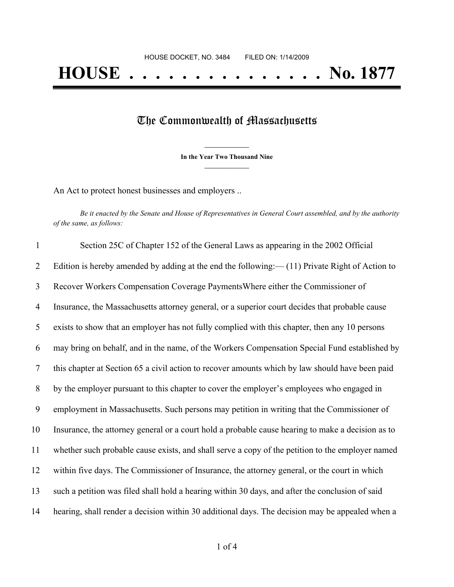## The Commonwealth of Massachusetts

**\_\_\_\_\_\_\_\_\_\_\_\_\_\_\_ In the Year Two Thousand Nine \_\_\_\_\_\_\_\_\_\_\_\_\_\_\_**

An Act to protect honest businesses and employers ..

Be it enacted by the Senate and House of Representatives in General Court assembled, and by the authority *of the same, as follows:*

| $\mathbf{1}$   | Section 25C of Chapter 152 of the General Laws as appearing in the 2002 Official                  |
|----------------|---------------------------------------------------------------------------------------------------|
| $\overline{2}$ | Edition is hereby amended by adding at the end the following: $-(11)$ Private Right of Action to  |
| 3              | Recover Workers Compensation Coverage Payments Where either the Commissioner of                   |
| $\overline{4}$ | Insurance, the Massachusetts attorney general, or a superior court decides that probable cause    |
| 5              | exists to show that an employer has not fully complied with this chapter, then any 10 persons     |
| 6              | may bring on behalf, and in the name, of the Workers Compensation Special Fund established by     |
| $\overline{7}$ | this chapter at Section 65 a civil action to recover amounts which by law should have been paid   |
| $8\phantom{.}$ | by the employer pursuant to this chapter to cover the employer's employees who engaged in         |
| 9              | employment in Massachusetts. Such persons may petition in writing that the Commissioner of        |
| 10             | Insurance, the attorney general or a court hold a probable cause hearing to make a decision as to |
| 11             | whether such probable cause exists, and shall serve a copy of the petition to the employer named  |
| 12             | within five days. The Commissioner of Insurance, the attorney general, or the court in which      |
| 13             | such a petition was filed shall hold a hearing within 30 days, and after the conclusion of said   |
| 14             | hearing, shall render a decision within 30 additional days. The decision may be appealed when a   |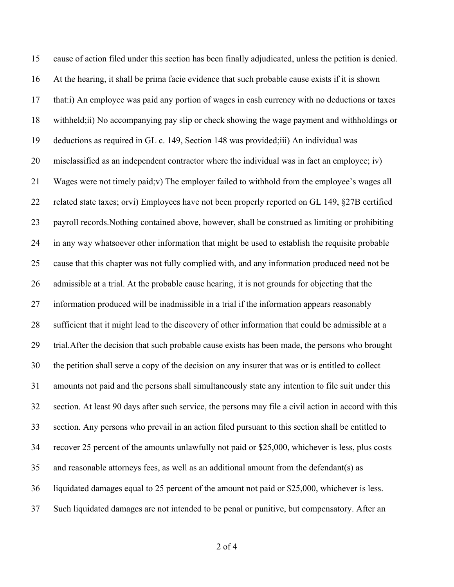cause of action filed under this section has been finally adjudicated, unless the petition is denied. At the hearing, it shall be prima facie evidence that such probable cause exists if it is shown that:i) An employee was paid any portion of wages in cash currency with no deductions or taxes withheld;ii) No accompanying pay slip or check showing the wage payment and withholdings or deductions as required in GL c. 149, Section 148 was provided;iii) An individual was misclassified as an independent contractor where the individual was in fact an employee; iv) Wages were not timely paid;v) The employer failed to withhold from the employee's wages all related state taxes; orvi) Employees have not been properly reported on GL 149, §27B certified payroll records.Nothing contained above, however, shall be construed as limiting or prohibiting in any way whatsoever other information that might be used to establish the requisite probable cause that this chapter was not fully complied with, and any information produced need not be admissible at a trial. At the probable cause hearing, it is not grounds for objecting that the information produced will be inadmissible in a trial if the information appears reasonably sufficient that it might lead to the discovery of other information that could be admissible at a trial.After the decision that such probable cause exists has been made, the persons who brought the petition shall serve a copy of the decision on any insurer that was or is entitled to collect amounts not paid and the persons shall simultaneously state any intention to file suit under this section. At least 90 days after such service, the persons may file a civil action in accord with this section. Any persons who prevail in an action filed pursuant to this section shall be entitled to recover 25 percent of the amounts unlawfully not paid or \$25,000, whichever is less, plus costs and reasonable attorneys fees, as well as an additional amount from the defendant(s) as liquidated damages equal to 25 percent of the amount not paid or \$25,000, whichever is less. Such liquidated damages are not intended to be penal or punitive, but compensatory. After an

of 4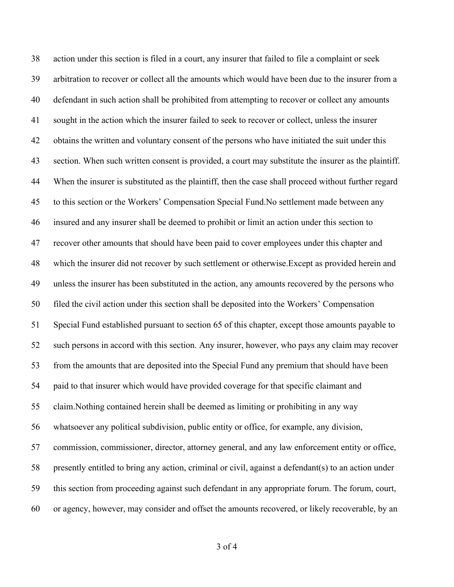action under this section is filed in a court, any insurer that failed to file a complaint or seek arbitration to recover or collect all the amounts which would have been due to the insurer from a defendant in such action shall be prohibited from attempting to recover or collect any amounts sought in the action which the insurer failed to seek to recover or collect, unless the insurer obtains the written and voluntary consent of the persons who have initiated the suit under this section. When such written consent is provided, a court may substitute the insurer as the plaintiff. When the insurer is substituted as the plaintiff, then the case shall proceed without further regard to this section or the Workers' Compensation Special Fund.No settlement made between any insured and any insurer shall be deemed to prohibit or limit an action under this section to recover other amounts that should have been paid to cover employees under this chapter and which the insurer did not recover by such settlement or otherwise.Except as provided herein and unless the insurer has been substituted in the action, any amounts recovered by the persons who filed the civil action under this section shall be deposited into the Workers' Compensation Special Fund established pursuant to section 65 of this chapter, except those amounts payable to such persons in accord with this section. Any insurer, however, who pays any claim may recover from the amounts that are deposited into the Special Fund any premium that should have been paid to that insurer which would have provided coverage for that specific claimant and claim.Nothing contained herein shall be deemed as limiting or prohibiting in any way whatsoever any political subdivision, public entity or office, for example, any division, commission, commissioner, director, attorney general, and any law enforcement entity or office, presently entitled to bring any action, criminal or civil, against a defendant(s) to an action under this section from proceeding against such defendant in any appropriate forum. The forum, court, or agency, however, may consider and offset the amounts recovered, or likely recoverable, by an

of 4